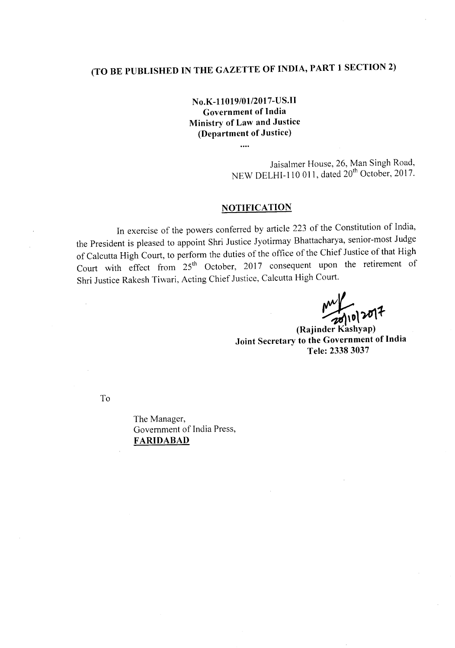## **(TO BE PUBLISHED IN THE GAZETTE OF INDIA, PART 1 SECTION 2)**

**No.K-l1019/01l2017-US.II Government of India Ministry of Law and Justice (Department of Justice)**

> Jaisalmer House, 26, Man Singh Road, NEW DELHI-110 011, dated 20<sup>th</sup> October, 2017.

## **NOTIFICATION**

In exercise of the powers conferred by article 223 of the Constitution of India, the President is pleased to appoint Shri Justice Jyotirmay Bhattacharya, senior-most Judge of Calcutta High Court, to perform the duties of the office of the Chief Justice of that High Court with effect from 25<sup>th</sup> October, 2017 consequent upon the retirement of Shri Justice Rakesh Tiwari, Acting Chief Justice, Calcutta High Court.

 $\frac{100}{2010}$  2017

**(Rajinder Kashyap) Joint Secretary to the Government of India Tele: 23383037**

To

The Manager, Government of India Press, **FARIDABAD**